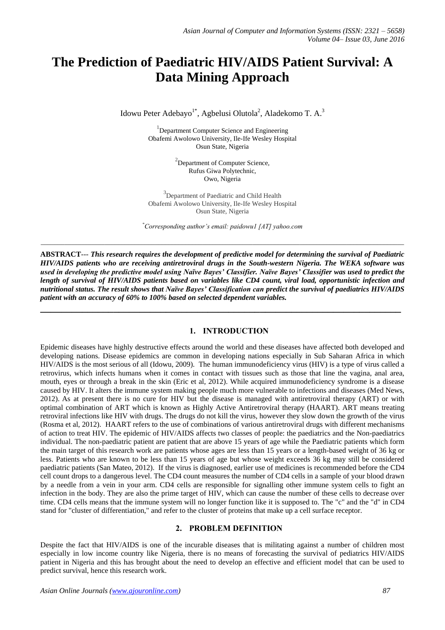# **The Prediction of Paediatric HIV/AIDS Patient Survival: A Data Mining Approach**

Idowu Peter Adebayo<sup>1\*</sup>, Agbelusi Olutola<sup>2</sup>, Aladekomo T. A.<sup>3</sup>

<sup>1</sup>Department Computer Science and Engineering Obafemi Awolowo University, Ile-Ife Wesley Hospital Osun State, Nigeria

> <sup>2</sup>Department of Computer Science, Rufus Giwa Polytechnic, Owo, Nigeria

<sup>3</sup>Department of Paediatric and Child Health Obafemi Awolowo University, Ile-Ife Wesley Hospital Osun State, Nigeria

*\*Corresponding author's email: paidowu1 [AT] yahoo.com*

*\_\_\_\_\_\_\_\_\_\_\_\_\_\_\_\_\_\_\_\_\_\_\_\_\_\_\_\_\_\_\_\_\_\_\_\_\_\_\_\_\_\_\_\_\_\_\_\_\_\_\_\_\_\_\_\_\_\_\_\_\_\_\_\_\_\_\_\_\_\_\_\_\_\_\_\_\_\_\_\_\_\_\_\_\_\_\_\_\_\_\_\_\_\_\_\_\_\_\_\_\_\_\_\_\_\_\_\_*

**ABSTRACT**--- *This research requires the development of predictive model for determining the survival of Paediatric HIV/AIDS patients who are receiving antiretroviral drugs in the South-western Nigeria. The WEKA software was used in developing the predictive model using Naïve Bayes' Classifier. Naïve Bayes' Classifier was used to predict the length of survival of HIV/AIDS patients based on variables like CD4 count, viral load, opportunistic infection and nutritional status. The result shows that Naïve Bayes' Classification can predict the survival of paediatrics HIV/AIDS patient with an accuracy of 60% to 100% based on selected dependent variables.*

**\_\_\_\_\_\_\_\_\_\_\_\_\_\_\_\_\_\_\_\_\_\_\_\_\_\_\_\_\_\_\_\_\_\_\_\_\_\_\_\_\_\_\_\_\_\_\_\_\_\_\_\_\_\_\_\_\_\_\_\_\_\_\_\_\_\_\_\_\_**

## **1. INTRODUCTION**

Epidemic diseases have highly destructive effects around the world and these diseases have affected both developed and developing nations. Disease epidemics are common in developing nations especially in Sub Saharan Africa in which HIV/AIDS is the most serious of all (Idowu, 2009). The human immunodeficiency virus (HIV) is a type of virus called a [retrovirus,](http://www.medicinenet.com/script/main/art.asp?articlekey=5344) which infects humans when it comes in contact with tissues such as those that line the vagina, anal area, mouth, eyes or through a break in the skin (Eric et al, 2012). While acquired immunodeficiency syndrome is a disease caused by HIV. It alters the immune system making people much more vulnerable to infections and diseases (Med News, 2012). As at present there is no cure for HIV but the disease is managed with antiretroviral therapy (ART) or with optimal combination of ART which is known as Highly Active Antiretroviral therapy (HAART). ART means treating retroviral infections like HIV with drugs. The drugs do not kill the virus, however they slow down the growth of the virus (Rosma et al, 2012). HAART refers to the use of combinations of various [antiretroviral](http://std.about.com/od/glossary/g/Antiretroviral-Therapy.htm) drugs with different mechanisms of action to treat [HIV.](http://std.about.com/od/viraldiseases/a/hivoverview.htm) The epidemic of HIV/AIDS affects two classes of people: the paediatrics and the Non-paediatrics individual. The non-paediatric patient are patient that are above 15 years of age while the Paediatric patients which form the main target of this research work are patients whose ages are less than 15 years or a length-based weight of 36 kg or less. Patients who are known to be less than 15 years of age but whose weight exceeds 36 kg may still be considered paediatric patients (San Mateo, 2012). If the virus is diagnosed, earlier use of medicines is recommended before the CD4 cell count drops to a dangerous level. The CD4 count measures the number of CD4 cells in a sample of your blood drawn by a needle from a vein in your arm. CD4 cells are responsible for signalling other immune system cells to fight an infection in the body. They are also the prime target of HIV, which can cause the number of these cells to decrease over time. CD4 cells means that the immune system will no longer function like it is supposed to. The "c" and the "d" in CD4 stand for "cluster of differentiation," and refer to the cluster of proteins that make up a cell surface receptor.

# **2. PROBLEM DEFINITION**

Despite the fact that HIV/AIDS is one of the incurable diseases that is militating against a number of children most especially in low income country like Nigeria, there is no means of forecasting the survival of pediatrics HIV/AIDS patient in Nigeria and this has brought about the need to develop an effective and efficient model that can be used to predict survival, hence this research work.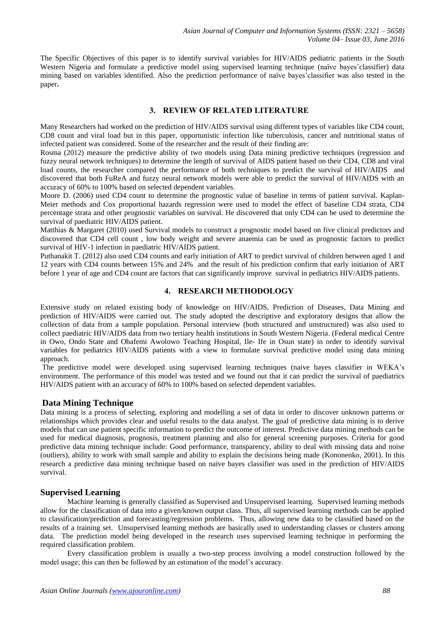The Specific Objectives of this paper is to identify survival variables for HIV/AIDS pediatric patients in the South Western Nigeria and formulate a predictive model using supervised learning technique (naïve bayes'classifier) data mining based on variables identified. Also the prediction performance of naïve bayes'classifier was also tested in the paper**.** 

## **3. REVIEW OF RELATED LITERATURE**

Many Researchers had worked on the prediction of HIV/AIDS survival using different types of variables like CD4 count, CD8 count and viral load but in this paper, opportunistic infection like tuberculosis, cancer and nutritional status of infected patient was considered. Some of the researcher and the result of their finding are:

Rosma (2012) measure the predictive ability of two models using Data mining predictive techniques (regression and fuzzy neural network techniques) to determine the length of survival of AIDS patient based on their CD4, CD8 and viral load counts, the researcher compared the performance of both techniques to predict the survival of HIV/AIDS and discovered that both FuReA and fuzzy neural network models were able to predict the survival of HIV/AIDS with an accuracy of 60% to 100% based on selected dependent variables.

Moore D. (2006) used CD4 count to determine the prognostic value of baseline in terms of patient survival. Kaplan-Meier methods and Cox proportional hazards regression were used to model the effect of baseline CD4 strata, CD4 percentage strata and other prognostic variables on survival. He discovered that only CD4 can be used to determine the survival of paediatric HIV/AIDS patient.

Matthias & Margaret (2010) used Survival models to construct a prognostic model based on five clinical predictors and discovered that CD4 cell count , low body weight and severe anaemia can be used as prognostic factors to predict survival of HIV-1 infection in paediatric HIV/AIDS patient.

Puthanakit T. (2012) also used CD4 counts and early initiation of ART to predict survival of children between aged 1 and 12 years with CD4 counts between 15% and 24% and the result of his prediction confirm that early initiation of ART before 1 year of age and CD4 count are factors that can significantly improve survival in pediatrics HIV/AIDS patients.

# **4. RESEARCH METHODOLOGY**

Extensive study on related existing body of knowledge on HIV/AIDS, Prediction of Diseases, Data Mining and prediction of HIV/AIDS were carried out. The study adopted the descriptive and exploratory designs that allow the collection of data from a sample population. Personal interview (both structured and unstructured) was also used to collect paediatric HIV/AIDS data from two tertiary health institutions in South Western Nigeria. (Federal medical Centre in Owo, Ondo State and Obafemi Awolowo Teaching Hospital, Ile- Ife in Osun state) in order to identify survival variables for pediatrics HIV/AIDS patients with a view to formulate survival predictive model using data mining approach.

The predictive model were developed using supervised learning techniques (naive bayes classifier in WEKA's environment. The performance of this model was tested and we found out that it can predict the survival of paediatrics HIV/AIDS patient with an accuracy of 60% to 100% based on selected dependent variables.

# **Data Mining Technique**

Data mining is a process of selecting, exploring and modelling a set of data in order to discover unknown patterns or relationships which provides clear and useful results to the data analyst. The goal of predictive data mining is to derive models that can use patient specific information to predict the outcome of interest. Predictive data mining methods can be used for medical diagnosis, prognosis, treatment planning and also for general screening purposes. Criteria for good predictive data mining technique include: Good performance, transparency, ability to deal with missing data and noise (outliers), ability to work with small sample and ability to explain the decisions being made (Kononenko, 2001). In this research a predictive data mining technique based on naïve bayes classifier was used in the prediction of HIV/AIDS survival.

# **Supervised Learning**

Machine learning is generally classified as Supervised and Unsupervised learning. Supervised learning methods allow for the classification of data into a given/known output class. Thus, all supervised learning methods can be applied to classification/prediction and forecasting/regression problems. Thus, allowing new data to be classified based on the results of a training set. Unsupervised learning methods are basically used to understanding classes or clusters among data. The prediction model being developed in the research uses supervised learning technique in performing the required classification problem.

Every classification problem is usually a two-step process involving a model construction followed by the model usage; this can then be followed by an estimation of the model's accuracy.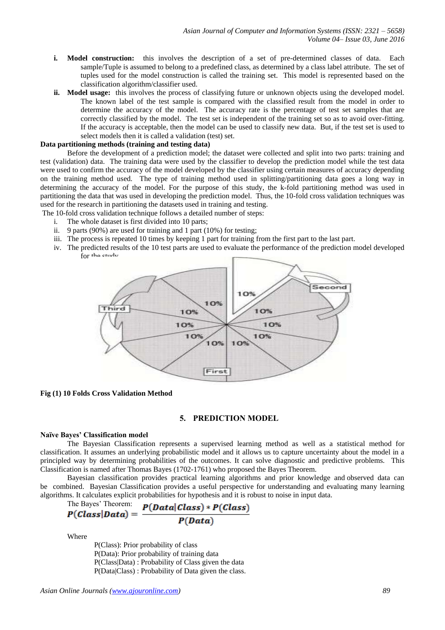- **i. Model construction:** this involves the description of a set of pre-determined classes of data. Each sample/Tuple is assumed to belong to a predefined class, as determined by a class label attribute. The set of tuples used for the model construction is called the training set. This model is represented based on the classification algorithm/classifier used.
- **ii. Model usage:** this involves the process of classifying future or unknown objects using the developed model. The known label of the test sample is compared with the classified result from the model in order to determine the accuracy of the model. The accuracy rate is the percentage of test set samples that are correctly classified by the model. The test set is independent of the training set so as to avoid over-fitting. If the accuracy is acceptable, then the model can be used to classify new data. But, if the test set is used to select models then it is called a validation (test) set.

#### **Data partitioning methods (training and testing data)**

Before the development of a prediction model; the dataset were collected and split into two parts: training and test (validation) data. The training data were used by the classifier to develop the prediction model while the test data were used to confirm the accuracy of the model developed by the classifier using certain measures of accuracy depending on the training method used. The type of training method used in splitting/partitioning data goes a long way in determining the accuracy of the model. For the purpose of this study, the k-fold partitioning method was used in partitioning the data that was used in developing the prediction model. Thus, the 10-fold cross validation techniques was used for the research in partitioning the datasets used in training and testing.

The 10-fold cross validation technique follows a detailed number of steps:

- i. The whole dataset is first divided into 10 parts;
- ii. 9 parts (90%) are used for training and 1 part (10%) for testing;
- iii. The process is repeated 10 times by keeping 1 part for training from the first part to the last part.
- iv. The predicted results of the 10 test parts are used to evaluate the performance of the prediction model developed for the study.



## **Fig (1) 10 Folds Cross Validation Method**

## **5. PREDICTION MODEL**

#### **Naïve Bayes' Classification model**

The Bayesian Classification represents a supervised learning method as well as a statistical method for classification. It assumes an underlying probabilistic model and it allows us to capture uncertainty about the model in a principled way by determining probabilities of the outcomes. It can solve diagnostic and predictive problems. This Classification is named after Thomas Bayes (1702-1761) who proposed the Bayes Theorem.

Bayesian classification provides practical learning algorithms and prior knowledge and observed data can be combined. Bayesian Classification provides a useful perspective for understanding and evaluating many learning algorithms. It calculates explicit probabilities for hypothesis and it is robust to noise in input data.

The Bayes' Theorem: 
$$
P(Class|Data) = \frac{P(Data|Class) * P(Class)}{P(Data)}
$$

Where

P(Class): Prior probability of class P(Data): Prior probability of training data P(Class|Data) : Probability of Class given the data P(Data|Class) : Probability of Data given the class.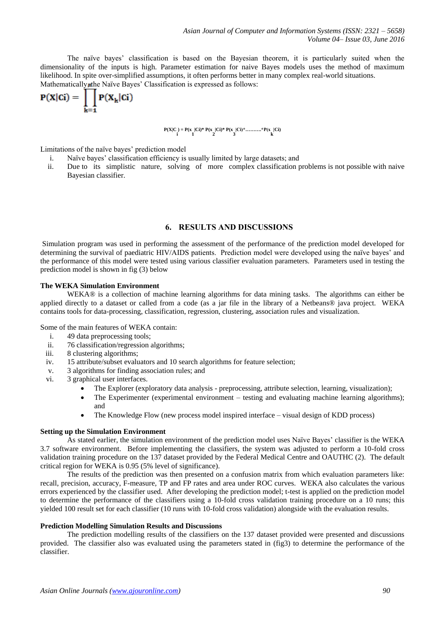The naïve bayes' classification is based on the Bayesian theorem, it is particularly suited when the dimensionality of the inputs is high. Parameter estimation for naive Bayes models uses the method of maximum likelihood. In spite over-simplified assumptions, it often performs better in many complex real-world situations. Mathematically, the Naïve Bayes' Classification is expressed as follows:

$$
P(X|Ci) = \prod_{k=1} P(X_k|Ci)
$$

$$
P(X|C_.) = P(x_.|Ci)*P(x_.|Ci)*P(x_.|Ci)*........*P(x_.|Ci)
$$

Limitations of the naïve bayes' prediction model

- i. Naïve bayes' classification efficiency is usually limited by large datasets; and
- ii. Due to its simplistic nature, solving of more complex classification problems is not possible with naive Bayesian classifier.

## **6. RESULTS AND DISCUSSIONS**

Simulation program was used in performing the assessment of the performance of the prediction model developed for determining the survival of paediatric HIV/AIDS patients. Prediction model were developed using the naïve bayes' and the performance of this model were tested using various classifier evaluation parameters. Parameters used in testing the prediction model is shown in fig (3) below

#### **The WEKA Simulation Environment**

WEKA® is a collection of machine learning algorithms for data mining tasks. The algorithms can either be applied directly to a dataset or called from a code (as a jar file in the library of a Netbeans® java project. WEKA contains tools for data-processing, classification, regression, clustering, association rules and visualization.

Some of the main features of WEKA contain:

- i. 49 data preprocessing tools;
- ii. 76 classification/regression algorithms;
- iii. 8 clustering algorithms;
- iv. 15 attribute/subset evaluators and 10 search algorithms for feature selection;
- v. 3 algorithms for finding association rules; and
- vi. 3 graphical user interfaces.
	- The Explorer (exploratory data analysis preprocessing, attribute selection, learning, visualization);
	- The Experimenter (experimental environment testing and evaluating machine learning algorithms); and
	- The Knowledge Flow (new process model inspired interface visual design of KDD process)

#### **Setting up the Simulation Environment**

As stated earlier, the simulation environment of the prediction model uses Naïve Bayes' classifier is the WEKA 3.7 software environment. Before implementing the classifiers, the system was adjusted to perform a 10-fold cross validation training procedure on the 137 dataset provided by the Federal Medical Centre and OAUTHC (2). The default critical region for WEKA is 0.95 (5% level of significance).

The results of the prediction was then presented on a confusion matrix from which evaluation parameters like: recall, precision, accuracy, F-measure, TP and FP rates and area under ROC curves. WEKA also calculates the various errors experienced by the classifier used. After developing the prediction model; t-test is applied on the prediction model to determine the performance of the classifiers using a 10-fold cross validation training procedure on a 10 runs; this yielded 100 result set for each classifier (10 runs with 10-fold cross validation) alongside with the evaluation results.

#### **Prediction Modelling Simulation Results and Discussions**

The prediction modelling results of the classifiers on the 137 dataset provided were presented and discussions provided. The classifier also was evaluated using the parameters stated in (fig3) to determine the performance of the classifier.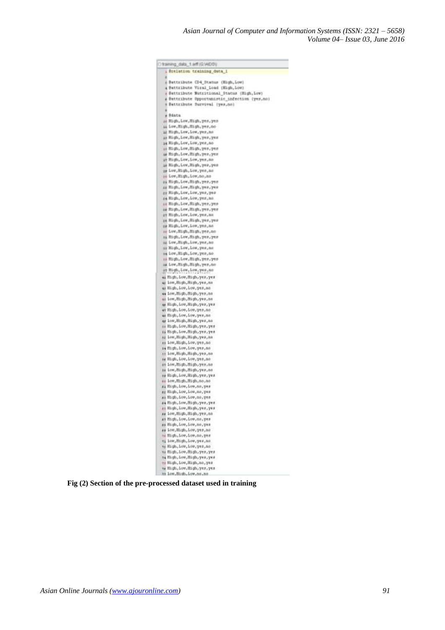| training data 1.aff (G.WDD)                                                                   |  |
|-----------------------------------------------------------------------------------------------|--|
| Stelation training duck I                                                                     |  |
| ٠                                                                                             |  |
| # Battribute CD4 Status (High, Low)                                                           |  |
| a Pattribute Viral Load (High, Low)                                                           |  |
| # Battribute Mutritional Status (High, Low)<br>a Battribute Opportunistic infection (yes, no) |  |
| # Battribute Survival (yes.co)                                                                |  |
|                                                                                               |  |
| y Bdata                                                                                       |  |
| ie High, Low, High, yes, yes                                                                  |  |
| ii Low, High, High, yes, no                                                                   |  |
| as Hagh, Low, Low, yes, no                                                                    |  |
| is High, Low, High, yes, yes<br>ie High, Low, Low, yes, no                                    |  |
| iii High, Low, High, yes, yes                                                                 |  |
| as High, Low, High, yes, yes                                                                  |  |
| im High, Low, Low, yes, no                                                                    |  |
| is High, Low, High, yes, yes.                                                                 |  |
| is Low, High, Low, yes, no                                                                    |  |
| m Low, High, Low, no, no                                                                      |  |
| as Migh, Low, High, yes, yes                                                                  |  |
| gg High, Low, High, yes, yes                                                                  |  |
| gy High, Low, Low, yes, yes<br>re High, Low, Low, yes, no                                     |  |
| as High, Low, High, yes, yes                                                                  |  |
| aw High, Low, High, yes, yes                                                                  |  |
| ge High, Lew, Low, yes, no                                                                    |  |
| za High, Low, High, yes, yes                                                                  |  |
| mm High, Low, Low, yes, no.                                                                   |  |
| m Low, High, High, yes, no                                                                    |  |
| is Righ, Lew, Righ, yes, yes                                                                  |  |
| BE Low, High, Low, yes, no                                                                    |  |
| as High, Low, Low, yes, no<br>sa Low, High, Low, yes, no                                      |  |
| ii High, Low, Bigh, yes, yes                                                                  |  |
| as Low, High, High, yes, no                                                                   |  |
| as High, Lew, Low, yes, no                                                                    |  |
| as High, Low, High, yes, yes                                                                  |  |
| ir Low, Migh, Migh, yes, no                                                                   |  |
| 45 High, Low, Low, yes, no                                                                    |  |
| 44 Low, Migh, Migh, yes, no                                                                   |  |
| as Low, Magh, Magh, yes, no                                                                   |  |
| as High, Low, High, yes, yes<br>av High, Low, Low, yes, no                                    |  |
| as Righ, Low, Low, yes, no                                                                    |  |
| ay Low, Bigh, High, yea, no                                                                   |  |
| ss Bigh, Low, High, yes, yes                                                                  |  |
| ii High, Low, High, yes, yes                                                                  |  |
| ag Low, Migh, Migh, yes, no                                                                   |  |
| as low, High, Low, yes, no                                                                    |  |
| se High, Low, Low, yes, no                                                                    |  |
| as Low, High, High, yes, no<br>se High, Low, Low, yes, no                                     |  |
| sy Low, Migh, High, yes, no                                                                   |  |
| m Low, Migh, High, yes, no                                                                    |  |
| sy High, Low, High, yes, yes                                                                  |  |
| se low, High, High, no, no                                                                    |  |
| #i Righ, Low, Low, no, yes                                                                    |  |
| ag Righ, Low, Low, no, yes                                                                    |  |
| mm Wrdp'roa'roa'uo'Aeu                                                                        |  |
| aa High, Low, High, yes, yes                                                                  |  |
| as High, Low, High, yes, yes<br>ss low, High, High, yes, no                                   |  |
| as High, Low, Low, no, yea                                                                    |  |
| as High, Low, Low, no, yes                                                                    |  |
| ss Low, Bigh, Low, yes, no                                                                    |  |
| mi Migh, Low, Low, no, yes                                                                    |  |
| ai low, High, Low, yes, no                                                                    |  |
| ME High, Low, Low, yes, no                                                                    |  |
| as High, Low, High, yes, yes                                                                  |  |
| sa Bigh, Low, High, yes, yes<br>ti Bigh, Low, High, no, yes                                   |  |
| as High, Low, High, yes, yes                                                                  |  |
| 19. Low. High, Low. no. no.                                                                   |  |

**Fig (2) Section of the pre-processed dataset used in training**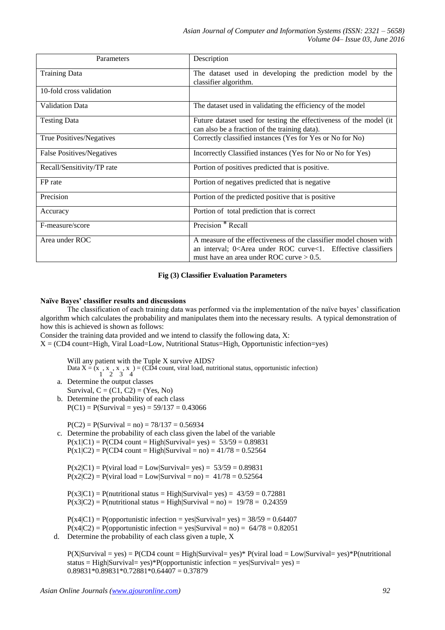| Parameters                       | Description                                                                                                                                                                              |  |  |  |
|----------------------------------|------------------------------------------------------------------------------------------------------------------------------------------------------------------------------------------|--|--|--|
| <b>Training Data</b>             | The dataset used in developing the prediction model by the<br>classifier algorithm.                                                                                                      |  |  |  |
| 10-fold cross validation         |                                                                                                                                                                                          |  |  |  |
| <b>Validation Data</b>           | The dataset used in validating the efficiency of the model                                                                                                                               |  |  |  |
| <b>Testing Data</b>              | Future dataset used for testing the effectiveness of the model (it<br>can also be a fraction of the training data).                                                                      |  |  |  |
| True Positives/Negatives         | Correctly classified instances (Yes for Yes or No for No)                                                                                                                                |  |  |  |
| <b>False Positives/Negatives</b> | Incorrectly Classified instances (Yes for No or No for Yes)                                                                                                                              |  |  |  |
| Recall/Sensitivity/TP rate       | Portion of positives predicted that is positive.                                                                                                                                         |  |  |  |
| FP rate                          | Portion of negatives predicted that is negative                                                                                                                                          |  |  |  |
| Precision                        | Portion of the predicted positive that is positive                                                                                                                                       |  |  |  |
| Accuracy                         | Portion of total prediction that is correct                                                                                                                                              |  |  |  |
| F-measure/score                  | Precision * Recall                                                                                                                                                                       |  |  |  |
| Area under ROC                   | A measure of the effectiveness of the classifier model chosen with<br>an interval; $0<$ Area under ROC curve $<$ 1. Effective classifiers<br>must have an area under ROC curve $> 0.5$ . |  |  |  |

# **Fig (3) Classifier Evaluation Parameters**

## **Naïve Bayes' classifier results and discussions**

The classification of each training data was performed via the implementation of the naïve bayes' classification algorithm which calculates the probability and manipulates them into the necessary results. A typical demonstration of how this is achieved is shown as follows:

Consider the training data provided and we intend to classify the following data, X:

 $X = (CD4$  count=High, Viral Load=Low, Nutritional Status=High, Opportunistic infection=yes)

Will any patient with the Tuple X survive AIDS?

Data  $X = \tilde{X}$ 1 , x 2 , x 3 , x 4  $) = (CD<sup>2</sup>4$  count, viral load, nutritional status, opportunistic infection) a. Determine the output classes

- Survival,  $C = (C1, C2) = (Yes, No)$
- b. Determine the probability of each class  $P(C1) = P(Survival = yes) = 59/137 = 0.43066$

 $P(C2) = P(Survival = no) = 78/137 = 0.56934$ 

c. Determine the probability of each class given the label of the variable  $P(x1|C1) = P(CD4 count = High|Survival = yes) = 53/59 = 0.89831$  $P(x1|C2) = P(CD4 count = High|Survival = no) = 41/78 = 0.52564$ 

 $P(x2|C1) = P(viral load = Low|Survival = yes) = 53/59 = 0.89831$  $P(x2|C2) = P(viral load = Low|Survival = no) = 41/78 = 0.52564$ 

 $P(x3|C1) = P(nutriational status = High|Survival = yes) = 43/59 = 0.72881$  $P(x3|C2) = P(nutriational status = High|Survival = no) = 19/78 = 0.24359$ 

 $P(x4|C1) = P($ opportunistic infection = yes|Survival= yes) = 38/59 = 0.64407  $P(x4|C2) = P(\text{opportionistic infection} = yes|Survival = no) = 64/78 = 0.82051$ d. Determine the probability of each class given a tuple, X

 $P(X|Survival = yes) = P(CD4 count = High|Survival = yes)*P(viral load = Low|Survival = yes)*P(nurtitional)$ status = High|Survival= yes)\*P(opportunistic infection = yes|Survival= yes) =  $0.89831*0.89831*0.72881*0.64407 = 0.37879$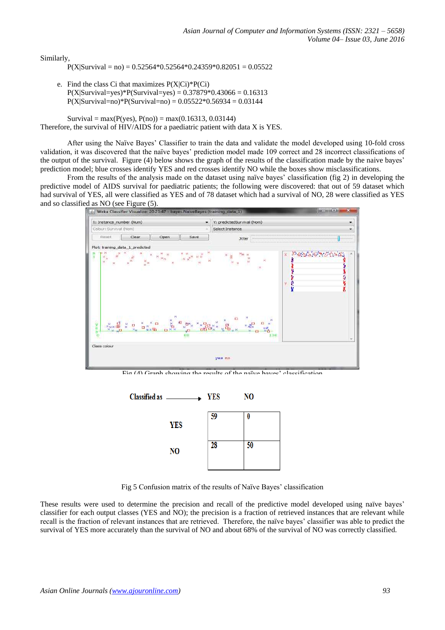Similarly,

 $P(X|Survival = no) = 0.52564*0.52564*0.24359*0.82051 = 0.05522$ 

e. Find the class Ci that maximizes  $P(X|C_i)^*P(C_i)$  $P(X|Survival = yes)*P(Survival = yes) = 0.37879*0.43066 = 0.16313$  $P(X|Survival=no)*P(Survival=no) = 0.05522*0.56934 = 0.03144$ 

Survival = max(P(yes),  $P(no)$ ) = max(0.16313, 0.03144) Therefore, the survival of HIV/AIDS for a paediatric patient with data X is YES.

After using the Naïve Bayes' Classifier to train the data and validate the model developed using 10-fold cross validation, it was discovered that the naïve bayes' prediction model made 109 correct and 28 incorrect classifications of the output of the survival. Figure (4) below shows the graph of the results of the classification made by the naive bayes' prediction model; blue crosses identify YES and red crosses identify NO while the boxes show misclassifications.

From the results of the analysis made on the dataset using naïve bayes' classification (fig 2) in developing the predictive model of AIDS survival for paediatric patients; the following were discovered: that out of 59 dataset which had survival of YES, all were classified as YES and of 78 dataset which had a survival of NO, 28 were classified as YES and so classified as NO (see Figure (5).



 $\lim_{\Delta t \to 0} (4)$  Graph showing the results of the naïve bayes' classification



Fig 5 Confusion matrix of the results of Naïve Bayes' classification

These results were used to determine the precision and recall of the predictive model developed using naïve bayes' classifier for each output classes (YES and NO); the precision is a fraction of retrieved instances that are relevant while recall is the fraction of relevant instances that are retrieved. Therefore, the naïve bayes' classifier was able to predict the survival of YES more accurately than the survival of NO and about 68% of the survival of NO was correctly classified.